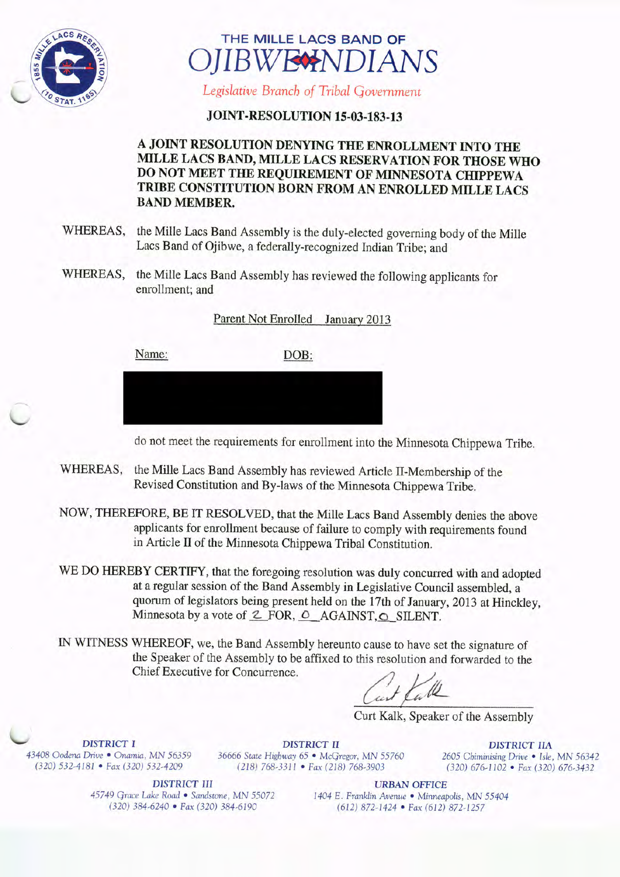



Legislative Branch of Tribal Government

## **JOINT-RESOLUTION 15-03-183-13**

## A JOINT RESOLUTION DENYING THE ENROLLMENT INTO THE MILLE LACS BAND, MILLE LACS RESERVATION FOR THOSE WHO DO NOT MEET THE REQUIREMENT OF MINNESOTA CHIPPEWA TRIBE CONSTITUTION BORN FROM AN ENROLLED MILLE LACS BAND MEMBER.

- WHEREAS, the Mille Lacs Band Assembly is the duly-elected governing body of the Mille Lacs Band of Ojibwe, a federally-recognized Indian Tribe; and
- WHEREAS, the Mille Lacs Band Assembly has reviewed the following applicants for enrollment; and

Parent Not Enrolled January 2013

Name: DOB:



do not meet the requirements for enrollment into the Minnesota Chippewa Tribe.

- WHEREAS, the Mille Lacs Band Assembly has reviewed Article II-Membership of the Revised Constitution and By-laws of the Minnesota Chippewa Tribe.
- NOW, THEREFORE, BE IT RESOLVED, that the Mille Lacs Band Assembly denies the above applicants for enrollment because of failure to comply with requirements found in Article II of the Minnesota Chippewa Tribal Constitution.
- WE DO HEREBY CERTIFY, that the foregoing resolution was duly concurred with and adopted at a regular session of the Band Assembly in Legislative Council assembled, a quorum of legislators being present held on the 17th of January, 2013 at Hinckley, Minnesota by a vote of  $\mathcal{Z}$  FOR,  $\mathcal{O}$  AGAINST,  $\mathcal{O}$  SILENT.
- IN WITNESS WHEREOF, we, the Band Assembly hereunto cause to have set the signature of the Speaker of the Assembly to be affixed to this resolution and forwarded to the Chief Executive for Concurrence.

w lle

Curt Kalk, Speaker of the Assembly

**DISTRICT I** DISTRICT II DISTRICT II DISTRICT IIA <sup>43408</sup> Oodena Drive • Onamia, MN <sup>56359</sup> <sup>36666</sup> State Highway 65 • McGregor, MN <sup>55760</sup> <sup>2605</sup> Chiminising Drive • Isle, MN <sup>56342</sup>

320) 532-4181 • Fax( 320) 532-4209 218) 768- 3311 • Fax( 218) 768- 3903 320) 676- 1102 • Fax( 320) 676- 3432

DISTRICT III URBAN OFFICE

181 • Fax (320) 532-4209<br>
4181 • Fax (320) 532-4209 (218) 768-3311 • Fax (218) 768-3903 (320) 676-1102 • Fax (320) 676-3432<br>
4181 • Fax (320) 676-3432<br>
45749 Grace Lake Road • Sandstone, MN 55072 (404 E. Franklin Avenue • 45749 Grace Lake Road • Sandstone, MN 55072 1404 E. Franklin Avenue • Minneapolis, MN 55404<br>(320) 384-6240 • Fax (320) 384-6190 (612) 872-1424 • Fax (612) 872-1257 320) 384- 6240 • Fax( 320) 384- 6190 612) 872- 1424 • Fax( 612) 872- 1257